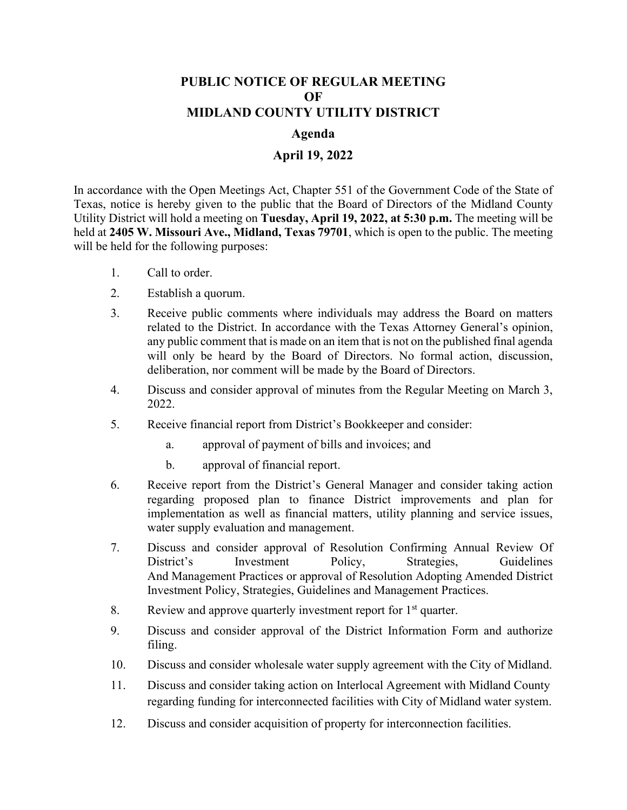## **PUBLIC NOTICE OF REGULAR MEETING OF MIDLAND COUNTY UTILITY DISTRICT**

## **Agenda**

## **April 19, 2022**

In accordance with the Open Meetings Act, Chapter 551 of the Government Code of the State of Texas, notice is hereby given to the public that the Board of Directors of the Midland County Utility District will hold a meeting on **Tuesday, April 19, 2022, at 5:30 p.m.** The meeting will be held at **2405 W. Missouri Ave., Midland, Texas 79701**, which is open to the public. The meeting will be held for the following purposes:

- 1. Call to order.
- 2. Establish a quorum.
- 3. Receive public comments where individuals may address the Board on matters related to the District. In accordance with the Texas Attorney General's opinion, any public comment that is made on an item that is not on the published final agenda will only be heard by the Board of Directors. No formal action, discussion, deliberation, nor comment will be made by the Board of Directors.
- 4. Discuss and consider approval of minutes from the Regular Meeting on March 3, 2022.
- 5. Receive financial report from District's Bookkeeper and consider:
	- a. approval of payment of bills and invoices; and
	- b. approval of financial report.
- 6. Receive report from the District's General Manager and consider taking action regarding proposed plan to finance District improvements and plan for implementation as well as financial matters, utility planning and service issues, water supply evaluation and management.
- 7. Discuss and consider approval of Resolution Confirming Annual Review Of District's Investment Policy, Strategies, Guidelines And Management Practices or approval of Resolution Adopting Amended District Investment Policy, Strategies, Guidelines and Management Practices.
- 8. Review and approve quarterly investment report for  $1<sup>st</sup>$  quarter.
- 9. Discuss and consider approval of the District Information Form and authorize filing.
- 10. Discuss and consider wholesale water supply agreement with the City of Midland.
- 11. Discuss and consider taking action on Interlocal Agreement with Midland County regarding funding for interconnected facilities with City of Midland water system.
- 12. Discuss and consider acquisition of property for interconnection facilities.